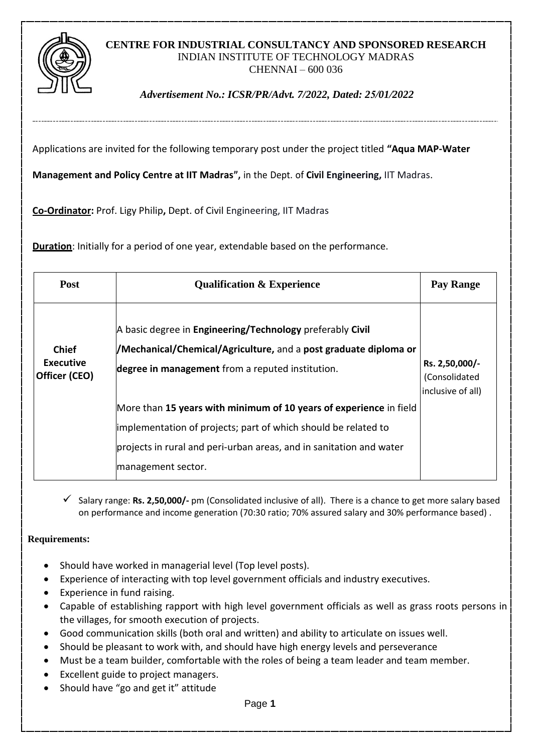

# **CENTRE FOR INDUSTRIAL CONSULTANCY AND SPONSORED RESEARCH** INDIAN INSTITUTE OF TECHNOLOGY MADRAS CHENNAI – 600 036

# *Advertisement No.: ICSR/PR/Advt. 7/2022, Dated: 25/01/2022*

Applications are invited for the following temporary post under the project titled **"Aqua MAP-Water** 

**Management and Policy Centre at IIT Madras",** in the Dept. of **Civil Engineering,** IIT Madras.

**Co-Ordinator:** Prof. Ligy Philip**,** Dept. of Civil Engineering, IIT Madras

**Duration**: Initially for a period of one year, extendable based on the performance.

| <b>Post</b>                                       | <b>Qualification &amp; Experience</b>                                                                                                                                             | Pay Range                                            |
|---------------------------------------------------|-----------------------------------------------------------------------------------------------------------------------------------------------------------------------------------|------------------------------------------------------|
| <b>Chief</b><br><b>Executive</b><br>Officer (CEO) | A basic degree in Engineering/Technology preferably Civil<br>/Mechanical/Chemical/Agriculture, and a post graduate diploma or<br>degree in management from a reputed institution. | Rs. 2,50,000/-<br>(Consolidated<br>inclusive of all) |
|                                                   | More than 15 years with minimum of 10 years of experience in field                                                                                                                |                                                      |
|                                                   | implementation of projects; part of which should be related to                                                                                                                    |                                                      |
|                                                   | projects in rural and peri-urban areas, and in sanitation and water                                                                                                               |                                                      |
|                                                   | management sector.                                                                                                                                                                |                                                      |

 Salary range: **Rs. 2,50,000/-** pm (Consolidated inclusive of all). There is a chance to get more salary based on performance and income generation (70:30 ratio; 70% assured salary and 30% performance based) .

### **Requirements:**

- Should have worked in managerial level (Top level posts).
- Experience of interacting with top level government officials and industry executives.
- Experience in fund raising.
- Capable of establishing rapport with high level government officials as well as grass roots persons in the villages, for smooth execution of projects.
- Good communication skills (both oral and written) and ability to articulate on issues well.
- Should be pleasant to work with, and should have high energy levels and perseverance
- Must be a team builder, comfortable with the roles of being a team leader and team member.
- Excellent guide to project managers.
- Should have "go and get it" attitude

Page **1**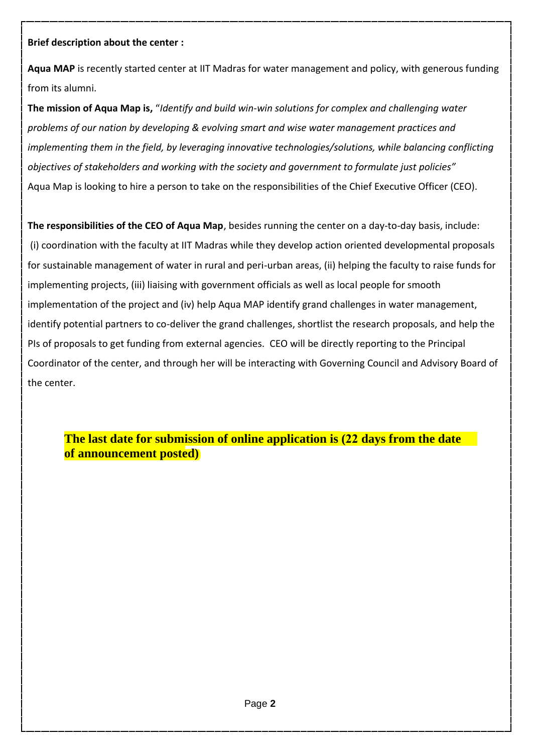# **Brief description about the center :**

**Aqua MAP** is recently started center at IIT Madras for water management and policy, with generous funding from its alumni.

**The mission of Aqua Map is,** "*Identify and build win-win solutions for complex and challenging water problems of our nation by developing & evolving smart and wise water management practices and implementing them in the field, by leveraging innovative technologies/solutions, while balancing conflicting objectives of stakeholders and working with the society and government to formulate just policies"* Aqua Map is looking to hire a person to take on the responsibilities of the Chief Executive Officer (CEO).

**The responsibilities of the CEO of Aqua Map**, besides running the center on a day-to-day basis, include: (i) coordination with the faculty at IIT Madras while they develop action oriented developmental proposals for sustainable management of water in rural and peri-urban areas, (ii) helping the faculty to raise funds for implementing projects, (iii) liaising with government officials as well as local people for smooth implementation of the project and (iv) help Aqua MAP identify grand challenges in water management, identify potential partners to co-deliver the grand challenges, shortlist the research proposals, and help the PIs of proposals to get funding from external agencies. CEO will be directly reporting to the Principal Coordinator of the center, and through her will be interacting with Governing Council and Advisory Board of the center.

**The last date for submission of online application is (22 days from the date of announcement posted)**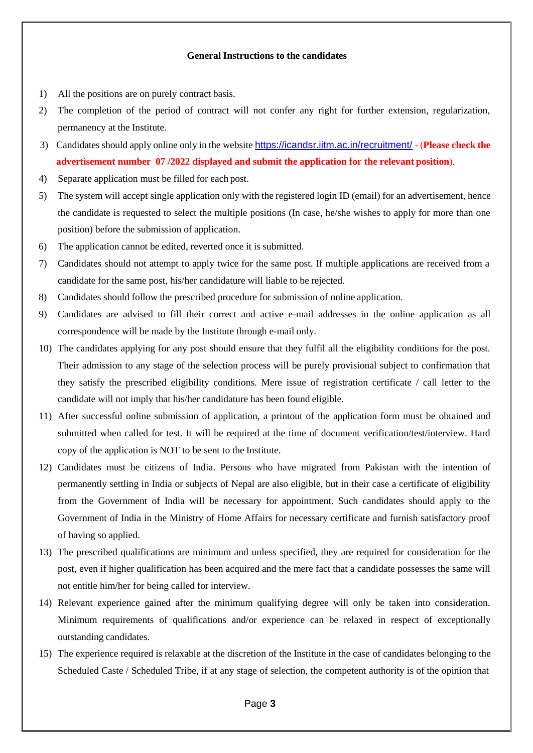#### **General Instructions to the candidates**

- 1) All the positions are on purely contract basis.
- 2) The completion of the period of contract will not confer any right for further extension, regularization, permanency at the Institute.
- 3) Candidates should apply online only in the website <https://icandsr.iitm.ac.in/recruitment/> (**Please check the advertisement number 07 /2022 displayed and submit the application for the relevant position**).
- 4) Separate application must be filled for each post.
- 5) The system will accept single application only with the registered login ID (email) for an advertisement, hence the candidate is requested to select the multiple positions (In case, he/she wishes to apply for more than one position) before the submission of application.
- 6) The application cannot be edited, reverted once it is submitted.
- 7) Candidates should not attempt to apply twice for the same post. If multiple applications are received from a candidate for the same post, his/her candidature will liable to be rejected.
- 8) Candidates should follow the prescribed procedure for submission of online application.
- 9) Candidates are advised to fill their correct and active e-mail addresses in the online application as all correspondence will be made by the Institute through e-mail only.
- 10) The candidates applying for any post should ensure that they fulfil all the eligibility conditions for the post. Their admission to any stage of the selection process will be purely provisional subject to confirmation that they satisfy the prescribed eligibility conditions. Mere issue of registration certificate / call letter to the candidate will not imply that his/her candidature has been found eligible.
- 11) After successful online submission of application, a printout of the application form must be obtained and submitted when called for test. It will be required at the time of document verification/test/interview. Hard copy of the application is NOT to be sent to the Institute.
- 12) Candidates must be citizens of India. Persons who have migrated from Pakistan with the intention of permanently settling in India or subjects of Nepal are also eligible, but in their case a certificate of eligibility from the Government of India will be necessary for appointment. Such candidates should apply to the Government of India in the Ministry of Home Affairs for necessary certificate and furnish satisfactory proof of having so applied.
- 13) The prescribed qualifications are minimum and unless specified, they are required for consideration for the post, even if higher qualification has been acquired and the mere fact that a candidate possesses the same will not entitle him/her for being called for interview.
- 14) Relevant experience gained after the minimum qualifying degree will only be taken into consideration. Minimum requirements of qualifications and/or experience can be relaxed in respect of exceptionally outstanding candidates.
- 15) The experience required is relaxable at the discretion of the Institute in the case of candidates belonging to the Scheduled Caste / Scheduled Tribe, if at any stage of selection, the competent authority is of the opinion that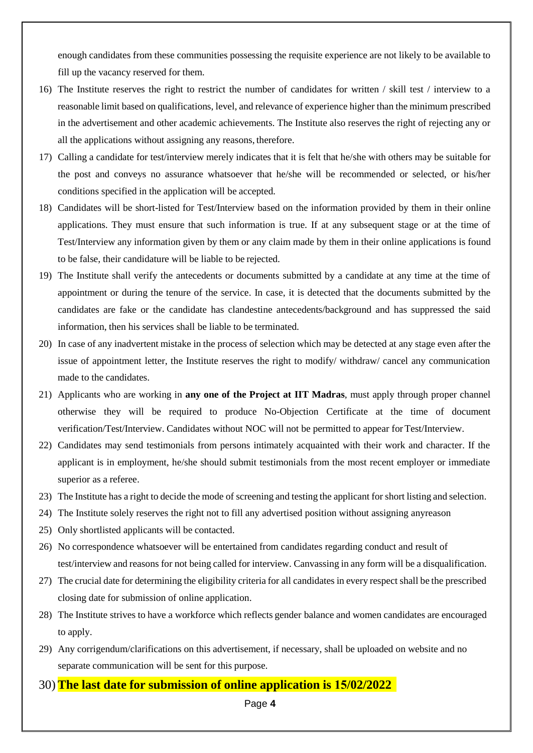enough candidates from these communities possessing the requisite experience are not likely to be available to fill up the vacancy reserved for them.

- 16) The Institute reserves the right to restrict the number of candidates for written / skill test / interview to a reasonable limit based on qualifications, level, and relevance of experience higher than the minimum prescribed in the advertisement and other academic achievements. The Institute also reserves the right of rejecting any or all the applications without assigning any reasons, therefore.
- 17) Calling a candidate for test/interview merely indicates that it is felt that he/she with others may be suitable for the post and conveys no assurance whatsoever that he/she will be recommended or selected, or his/her conditions specified in the application will be accepted.
- 18) Candidates will be short-listed for Test/Interview based on the information provided by them in their online applications. They must ensure that such information is true. If at any subsequent stage or at the time of Test/Interview any information given by them or any claim made by them in their online applications is found to be false, their candidature will be liable to be rejected.
- 19) The Institute shall verify the antecedents or documents submitted by a candidate at any time at the time of appointment or during the tenure of the service. In case, it is detected that the documents submitted by the candidates are fake or the candidate has clandestine antecedents/background and has suppressed the said information, then his services shall be liable to be terminated.
- 20) In case of any inadvertent mistake in the process of selection which may be detected at any stage even after the issue of appointment letter, the Institute reserves the right to modify/ withdraw/ cancel any communication made to the candidates.
- 21) Applicants who are working in **any one of the Project at IIT Madras**, must apply through proper channel otherwise they will be required to produce No-Objection Certificate at the time of document verification/Test/Interview. Candidates without NOC will not be permitted to appear for Test/Interview.
- 22) Candidates may send testimonials from persons intimately acquainted with their work and character. If the applicant is in employment, he/she should submit testimonials from the most recent employer or immediate superior as a referee.
- 23) The Institute has a right to decide the mode of screening and testing the applicant for short listing and selection.
- 24) The Institute solely reserves the right not to fill any advertised position without assigning anyreason
- 25) Only shortlisted applicants will be contacted.
- 26) No correspondence whatsoever will be entertained from candidates regarding conduct and result of test/interview and reasons for not being called for interview. Canvassing in any form will be a disqualification.
- 27) The crucial date for determining the eligibility criteria for all candidates in every respect shall be the prescribed closing date for submission of online application.
- 28) The Institute strives to have a workforce which reflects gender balance and women candidates are encouraged to apply.
- 29) Any corrigendum/clarifications on this advertisement, if necessary, shall be uploaded on website and no separate communication will be sent for this purpose.
- 30) **The last date for submission of online application is 15/02/2022**

Page **4**